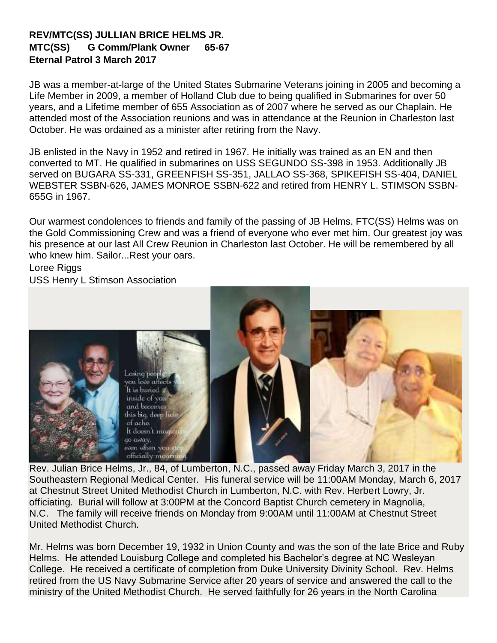## **REV/MTC(SS) JULLIAN BRICE HELMS JR. MTC(SS) G Comm/Plank Owner 65-67 Eternal Patrol 3 March 2017**

JB was a member-at-large of the United States Submarine Veterans joining in 2005 and becoming a Life Member in 2009, a member of Holland Club due to being qualified in Submarines for over 50 years, and a Lifetime member of 655 Association as of 2007 where he served as our Chaplain. He attended most of the Association reunions and was in attendance at the Reunion in Charleston last October. He was ordained as a minister after retiring from the Navy.

JB enlisted in the Navy in 1952 and retired in 1967. He initially was trained as an EN and then converted to MT. He qualified in submarines on USS SEGUNDO SS-398 in 1953. Additionally JB served on BUGARA SS-331, GREENFISH SS-351, JALLAO SS-368, SPIKEFISH SS-404, DANIEL WEBSTER SSBN-626, JAMES MONROE SSBN-622 and retired from HENRY L. STIMSON SSBN-655G in 1967.

Our warmest condolences to friends and family of the passing of JB Helms. FTC(SS) Helms was on the Gold Commissioning Crew and was a friend of everyone who ever met him. Our greatest joy was his presence at our last All Crew Reunion in Charleston last October. He will be remembered by all who knew him. Sailor...Rest your oars.

[Loree Riggs](https://www.facebook.com/loree.riggs?fref=nf)

USS Henry L Stimson Association



Rev. Julian Brice Helms, Jr., 84, of Lumberton, N.C., passed away Friday March 3, 2017 in the Southeastern Regional Medical Center. His funeral service will be 11:00AM Monday, March 6, 2017 at Chestnut Street United Methodist Church in Lumberton, N.C. with Rev. Herbert Lowry, Jr. officiating. Burial will follow at 3:00PM at the Concord Baptist Church cemetery in Magnolia, N.C. The family will receive friends on Monday from 9:00AM until 11:00AM at Chestnut Street United Methodist Church.

Mr. Helms was born December 19, 1932 in Union County and was the son of the late Brice and Ruby Helms. He attended Louisburg College and completed his Bachelor's degree at NC Wesleyan College. He received a certificate of completion from Duke University Divinity School. Rev. Helms retired from the US Navy Submarine Service after 20 years of service and answered the call to the ministry of the United Methodist Church. He served faithfully for 26 years in the North Carolina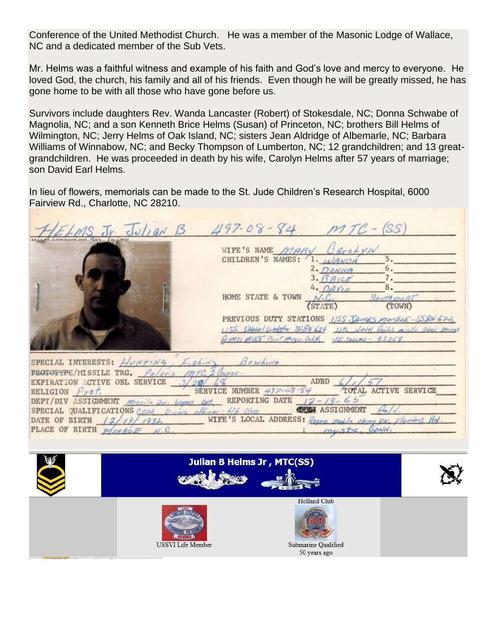Conference of the United Methodist Church. He was a member of the Masonic Lodge of Wallace, NC and a dedicated member of the Sub Vets.

Mr. Helms was a faithful witness and example of his faith and God's love and mercy to everyone. He loved God, the church, his family and all of his friends. Even though he will be greatly missed, he has gone home to be with all those who have gone before us.

Survivors include daughters Rev. Wanda Lancaster (Robert) of Stokesdale, NC; Donna Schwabe of Magnolia, NC; and a son Kenneth Brice Helms (Susan) of Princeton, NC; brothers Bill Helms of Wilmington, NC; Jerry Helms of Oak Island, NC; sisters Jean Aldridge of Albemarle, NC; Barbara Williams of Winnabow, NC; and Becky Thompson of Lumberton, NC; 12 grandchildren; and 13 greatgrandchildren. He was proceeded in death by his wife, Carolyn Helms after 57 years of marriage; son David Earl Helms.

In lieu of flowers, memorials can be made to the St. Jude Children's Research Hospital, 6000 Fairview Rd., Charlotte, NC 28210.

| ELMS. Jr. Julian B                                                                                                                                                                     | $497 - 08 - 84$ $MTC - (SS)$                                                                                                                                                                                                                                                                                                      |
|----------------------------------------------------------------------------------------------------------------------------------------------------------------------------------------|-----------------------------------------------------------------------------------------------------------------------------------------------------------------------------------------------------------------------------------------------------------------------------------------------------------------------------------|
|                                                                                                                                                                                        | WIFE'S NAME MARY CareLyN<br>CHILDREN'S NAMES: 1. WANDA<br>5.<br>6.<br>$2.$ DONNA<br>7.<br>$3. \beta$ AICE<br>8.<br>$4.$ DAVID<br>HOME STATE & TOWN N.C. SOUTH GORT<br>PREVIOUS DUTY STATIONS USS JAMES MONSOE-SENGER<br>USS DANOLLINGTON SEBN 626 USB NOVEL Acided might should prove<br>GMD #53 POUR MAN. ONA 155 TALLAO - 85368 |
| SPECIAL INTERESTS: Honting, Eishing Bowhing<br>PROTOTYPE/MISSILE TRG. Polse's MITC. 2 Churse.<br>EXPIRATION ACTIVE OBL SERVICE 3/20/<br>RELIGION $P_{\gamma b} t$ .                    | ADBD<br>SERVICE NUMBER 497-69-84 TOTAL ACTIVE SERVICE                                                                                                                                                                                                                                                                             |
| DEPT/DIV ASSIGNMENT $m_{152}/4$ for looks of REPORTING DATE $12 - 13 - 65$<br>SPECIAL QUALIFICATIONS COW, Owners officer 616 Olser CREW ASSIGNMENT Pold.<br>PLACE OF BIRTH MONBOR N.C. | DATE OF BIRTH 12/19/1932 WIFE'S LOCAL ADDRESS: Roses medite these pr. Flanders Rd<br>i mustic Conn.                                                                                                                                                                                                                               |

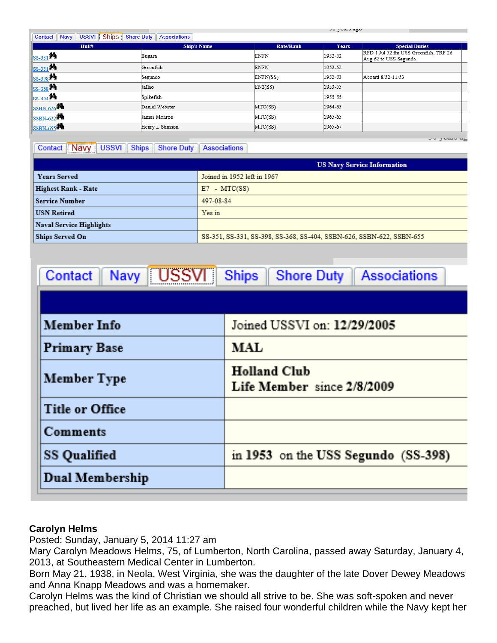| Navy USSVI Ships Shore Duty Associations<br>Contact |                    |                  |         |                                                                |  |
|-----------------------------------------------------|--------------------|------------------|---------|----------------------------------------------------------------|--|
| Hull#                                               | <b>Ship's Name</b> | <b>Rate/Rank</b> | Years   | <b>Special Duties</b>                                          |  |
| SS-331 <sup>54</sup>                                | Bugara             | <b>ENFN</b>      | 1952-52 | RFD 1 Jul 52 fm USS Greenfish, TRF 26<br>Aug 62 to USS Segundo |  |
| SS-351 <sup>94</sup>                                | Greenfish          | <b>ENFN</b>      | 1952-52 |                                                                |  |
| SS-398 <sup>04</sup>                                | Segundo            | ENFN(SS)         | 1952-53 | Aboard 8/52-11/53                                              |  |
| SS-368 <sup>04</sup>                                | Jallao             | EN2(SS)          | 1953-55 |                                                                |  |
| SS-404 <sup>84</sup>                                | Spikefish          |                  | 1955-55 |                                                                |  |
| SSBN-626                                            | Daniel Webster     | MTC(SS)          | 1964-65 |                                                                |  |
| SSBN-622                                            | James Monroe       | MTC(SS)          | 1965-65 |                                                                |  |
| SSBN-655                                            | Henry L Stimson    | MTC(SS)          | 1965-67 |                                                                |  |

## Contact Navy USSVI Ships Shore Duty Associations

**US Navy Service Information Years Served** Joined in 1952 left in 1967 **Highest Rank - Rate**  $E7 - MTC(SS)$ **Service Number** 497-08-84 **USN Retired** Yes in **Naval Service Highlights** Ships Served On SS-351, SS-331, SS-398, SS-368, SS-404, SSBN-626, SSBN-622, SSBN-655

يبيد بالسائر الراب

| Navy USSVI Ships<br>Associations<br><b>Contact</b><br>Shore Duty |                                                   |  |  |  |
|------------------------------------------------------------------|---------------------------------------------------|--|--|--|
|                                                                  |                                                   |  |  |  |
| <b>Member Info</b>                                               | Joined USSVI on: 12/29/2005                       |  |  |  |
| <b>Primary Base</b>                                              | <b>MAL</b>                                        |  |  |  |
| Member Type                                                      | <b>Holland Club</b><br>Life Member since 2/8/2009 |  |  |  |
| <b>Title or Office</b>                                           |                                                   |  |  |  |
| Comments                                                         |                                                   |  |  |  |
| <b>SS Qualified</b>                                              | in 1953 on the USS Segundo (SS-398)               |  |  |  |
| Dual Membership                                                  |                                                   |  |  |  |

## **Carolyn Helms**

Posted: Sunday, January 5, 2014 11:27 am

Mary Carolyn Meadows Helms, 75, of Lumberton, North Carolina, passed away Saturday, January 4, 2013, at Southeastern Medical Center in Lumberton.

Born May 21, 1938, in Neola, West Virginia, she was the daughter of the late Dover Dewey Meadows and Anna Knapp Meadows and was a homemaker.

Carolyn Helms was the kind of Christian we should all strive to be. She was soft-spoken and never preached, but lived her life as an example. She raised four wonderful children while the Navy kept her